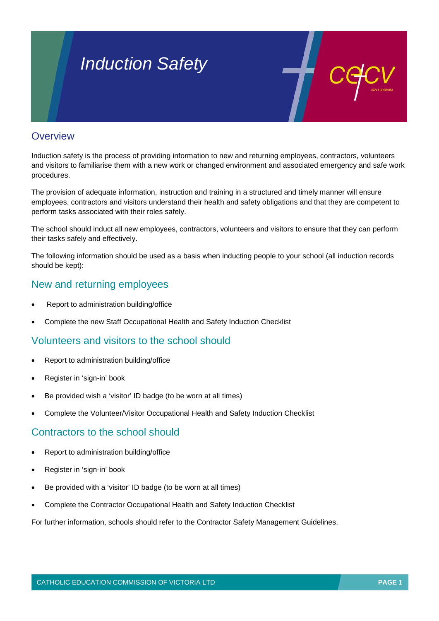# *Induction Safety*

#### **Overview**

Induction safety is the process of providing information to new and returning employees, contractors, volunteers and visitors to familiarise them with a new work or changed environment and associated emergency and safe work procedures.

The provision of adequate information, instruction and training in a structured and timely manner will ensure employees, contractors and visitors understand their health and safety obligations and that they are competent to perform tasks associated with their roles safely.

The school should induct all new employees, contractors, volunteers and visitors to ensure that they can perform their tasks safely and effectively.

The following information should be used as a basis when inducting people to your school (all induction records should be kept):

#### New and returning employees

- Report to administration building/office
- Complete the new Staff Occupational Health and Safety Induction Checklist

#### Volunteers and visitors to the school should

- Report to administration building/office
- Register in 'sign-in' book
- Be provided wish a 'visitor' ID badge (to be worn at all times)
- Complete the Volunteer/Visitor Occupational Health and Safety Induction Checklist

#### Contractors to the school should

- Report to administration building/office
- Register in 'sign-in' book
- Be provided with a 'visitor' ID badge (to be worn at all times)
- Complete the Contractor Occupational Health and Safety Induction Checklist

For further information, schools should refer to the Contractor Safety Management Guidelines.